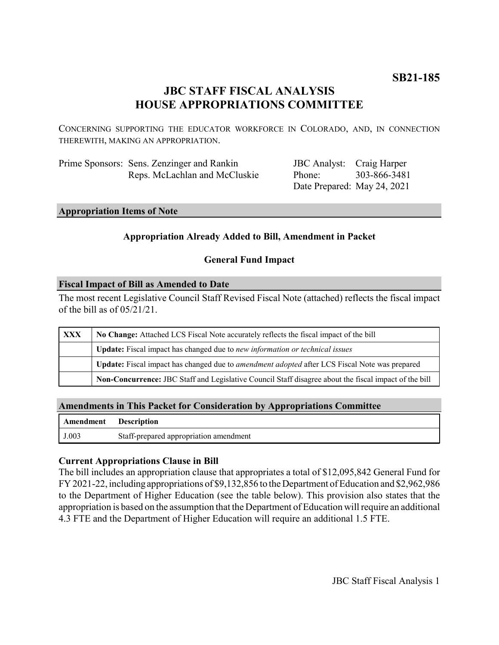## **JBC STAFF FISCAL ANALYSIS HOUSE APPROPRIATIONS COMMITTEE**

CONCERNING SUPPORTING THE EDUCATOR WORKFORCE IN COLORADO, AND, IN CONNECTION THEREWITH, MAKING AN APPROPRIATION.

| Prime Sponsors: Sens. Zenzinger and Rankin |  |
|--------------------------------------------|--|
| Reps. McLachlan and McCluskie              |  |

JBC Analyst: Craig Harper Phone: Date Prepared: May 24, 2021 303-866-3481

#### **Appropriation Items of Note**

#### **Appropriation Already Added to Bill, Amendment in Packet**

#### **General Fund Impact**

#### **Fiscal Impact of Bill as Amended to Date**

The most recent Legislative Council Staff Revised Fiscal Note (attached) reflects the fiscal impact of the bill as of 05/21/21.

| XXX | No Change: Attached LCS Fiscal Note accurately reflects the fiscal impact of the bill                       |  |
|-----|-------------------------------------------------------------------------------------------------------------|--|
|     | <b>Update:</b> Fiscal impact has changed due to new information or technical issues                         |  |
|     | <b>Update:</b> Fiscal impact has changed due to <i>amendment adopted</i> after LCS Fiscal Note was prepared |  |
|     | Non-Concurrence: JBC Staff and Legislative Council Staff disagree about the fiscal impact of the bill       |  |

#### **Amendments in This Packet for Consideration by Appropriations Committee**

| <b>Amendment</b> Description |                                        |
|------------------------------|----------------------------------------|
| J.003                        | Staff-prepared appropriation amendment |

#### **Current Appropriations Clause in Bill**

The bill includes an appropriation clause that appropriates a total of \$12,095,842 General Fund for FY 2021-22, including appropriations of \$9,132,856 to the Department of Education and \$2,962,986 to the Department of Higher Education (see the table below). This provision also states that the appropriation is based on the assumption that the Department of Education will require an additional 4.3 FTE and the Department of Higher Education will require an additional 1.5 FTE.